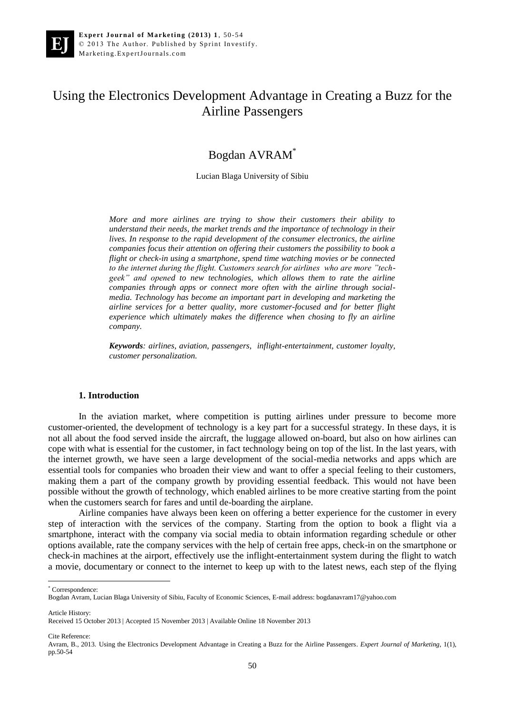# Using the Electronics Development Advantage in Creating a Buzz for the Airline Passengers

## Bogdan AVRAM\*

Lucian Blaga University of Sibiu

*More and more airlines are trying to show their customers their ability to understand their needs, the market trends and the importance of technology in their lives. In response to the rapid development of the consumer electronics, the airline companies focus their attention on offering their customers the possibility to book a flight or check-in using a smartphone, spend time watching movies or be connected to the internet during the flight. Customers search for airlines who are more "techgeek" and opened to new technologies, which allows them to rate the airline companies through apps or connect more often with the airline through socialmedia. Technology has become an important part in developing and marketing the airline services for a better quality, more customer-focused and for better flight experience which ultimately makes the difference when chosing to fly an airline company.* 

*Keywords: airlines, aviation, passengers, inflight-entertainment, customer loyalty, customer personalization.*

#### **1. Introduction**

In the aviation market, where competition is putting airlines under pressure to become more customer-oriented, the development of technology is a key part for a successful strategy. In these days, it is not all about the food served inside the aircraft, the luggage allowed on-board, but also on how airlines can cope with what is essential for the customer, in fact technology being on top of the list. In the last years, with the internet growth, we have seen a large development of the social-media networks and apps which are essential tools for companies who broaden their view and want to offer a special feeling to their customers, making them a part of the company growth by providing essential feedback. This would not have been possible without the growth of technology, which enabled airlines to be more creative starting from the point when the customers search for fares and until de-boarding the airplane.

Airline companies have always been keen on offering a better experience for the customer in every step of interaction with the services of the company. Starting from the option to book a flight via a smartphone, interact with the company via social media to obtain information regarding schedule or other options available, rate the company services with the help of certain free apps, check-in on the smartphone or check-in machines at the airport, effectively use the inflight-entertainment system during the flight to watch a movie, documentary or connect to the internet to keep up with to the latest news, each step of the flying

\* Correspondence:

 $\overline{a}$ 

Article History:

Cite Reference:

Bogdan Avram, Lucian Blaga University of Sibiu, Faculty of Economic Sciences, E-mail address: bogdanavram17@yahoo.com

Received 15 October 2013 | Accepted 15 November 2013 | Available Online 18 November 2013

Avram, B., 2013. Using the Electronics Development Advantage in Creating a Buzz for the Airline Passengers. *Expert Journal of Marketing*, 1(1), pp.50-54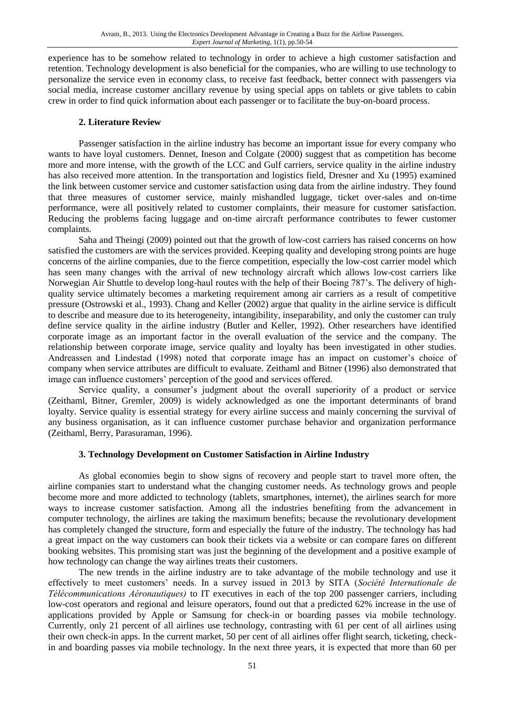experience has to be somehow related to technology in order to achieve a high customer satisfaction and retention. Technology development is also beneficial for the companies, who are willing to use technology to personalize the service even in economy class, to receive fast feedback, better connect with passengers via social media, increase customer ancillary revenue by using special apps on tablets or give tablets to cabin crew in order to find quick information about each passenger or to facilitate the buy-on-board process.

#### **2. Literature Review**

Passenger satisfaction in the airline industry has become an important issue for every company who wants to have loyal customers. Dennet, Ineson and Colgate (2000) suggest that as competition has become more and more intense, with the growth of the LCC and Gulf carriers, service quality in the airline industry has also received more attention. In the transportation and logistics field, Dresner and Xu (1995) examined the link between customer service and customer satisfaction using data from the airline industry. They found that three measures of customer service, mainly mishandled luggage, ticket over-sales and on-time performance, were all positively related to customer complaints, their measure for customer satisfaction. Reducing the problems facing luggage and on-time aircraft performance contributes to fewer customer complaints.

Saha and Theingi (2009) pointed out that the growth of low-cost carriers has raised concerns on how satisfied the customers are with the services provided. Keeping quality and developing strong points are huge concerns of the airline companies, due to the fierce competition, especially the low-cost carrier model which has seen many changes with the arrival of new technology aircraft which allows low-cost carriers like Norwegian Air Shuttle to develop long-haul routes with the help of their Boeing 787's. The delivery of highquality service ultimately becomes a marketing requirement among air carriers as a result of competitive pressure (Ostrowski et al., 1993). Chang and Keller (2002) argue that quality in the airline service is difficult to describe and measure due to its heterogeneity, intangibility, inseparability, and only the customer can truly define service quality in the airline industry (Butler and Keller, 1992). Other researchers have identified corporate image as an important factor in the overall evaluation of the service and the company. The relationship between corporate image, service quality and loyalty has been investigated in other studies. Andreassen and Lindestad (1998) noted that corporate image has an impact on customer's choice of company when service attributes are difficult to evaluate. Zeithaml and Bitner (1996) also demonstrated that image can influence customers' perception of the good and services offered.

Service quality, a consumer's judgment about the overall superiority of a product or service (Zeithaml, Bitner, Gremler, 2009) is widely acknowledged as one the important determinants of brand loyalty. Service quality is essential strategy for every airline success and mainly concerning the survival of any business organisation, as it can influence customer purchase behavior and organization performance (Zeithaml, Berry, Parasuraman, 1996).

### **3. Technology Development on Customer Satisfaction in Airline Industry**

As global economies begin to show signs of recovery and people start to travel more often, the airline companies start to understand what the changing customer needs. As technology grows and people become more and more addicted to technology (tablets, smartphones, internet), the airlines search for more ways to increase customer satisfaction. Among all the industries benefiting from the advancement in computer technology, the airlines are taking the maximum benefits; because the revolutionary development has completely changed the structure, form and especially the future of the industry. The technology has had a great impact on the way customers can book their tickets via a website or can compare fares on different booking websites. This promising start was just the beginning of the development and a positive example of how technology can change the way airlines treats their customers.

The new trends in the airline industry are to take advantage of the mobile technology and use it effectively to meet customers' needs. In a survey issued in 2013 by SITA (*Société Internationale de Télécommunications Aéronautiques)* to IT executives in each of the top 200 passenger carriers, including low-cost operators and regional and leisure operators, found out that a predicted 62% increase in the use of applications provided by Apple or Samsung for check-in or boarding passes via mobile technology. Currently, only 21 percent of all airlines use technology, contrasting with 61 per cent of all airlines using their own check-in apps. In the current market, 50 per cent of all airlines offer flight search, ticketing, checkin and boarding passes via mobile technology. In the next three years, it is expected that more than 60 per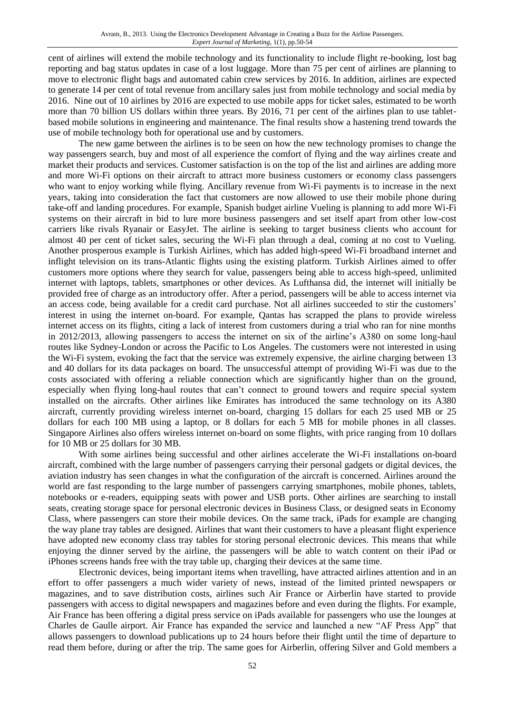cent of airlines will extend the mobile technology and its functionality to include flight re-booking, lost bag reporting and bag status updates in case of a lost luggage. More than 75 per cent of airlines are planning to move to electronic flight bags and automated cabin crew services by 2016. In addition, airlines are expected to generate 14 per cent of total revenue from ancillary sales just from mobile technology and social media by 2016. Nine out of 10 airlines by 2016 are expected to use mobile apps for ticket sales, estimated to be worth more than 70 billion US dollars within three years. By 2016, 71 per cent of the airlines plan to use tabletbased mobile solutions in engineering and maintenance. The final results show a hastening trend towards the use of mobile technology both for operational use and by customers.

The new game between the airlines is to be seen on how the new technology promises to change the way passengers search, buy and most of all experience the comfort of flying and the way airlines create and market their products and services. Customer satisfaction is on the top of the list and airlines are adding more and more Wi-Fi options on their aircraft to attract more business customers or economy class passengers who want to enjoy working while flying. Ancillary revenue from Wi-Fi payments is to increase in the next years, taking into consideration the fact that customers are now allowed to use their mobile phone during take-off and landing procedures. For example, Spanish budget airline Vueling is planning to add more Wi-Fi systems on their aircraft in bid to lure more business passengers and set itself apart from other low-cost carriers like rivals Ryanair or EasyJet. The airline is seeking to target business clients who account for almost 40 per cent of ticket sales, securing the Wi-Fi plan through a deal, coming at no cost to Vueling. Another prosperous example is Turkish Airlines, which has added high-speed Wi-Fi broadband internet and inflight television on its trans-Atlantic flights using the existing platform. Turkish Airlines aimed to offer customers more options where they search for value, passengers being able to access high-speed, unlimited internet with laptops, tablets, smartphones or other devices. As Lufthansa did, the internet will initially be provided free of charge as an introductory offer. After a period, passengers will be able to access internet via an access code, being available for a credit card purchase. Not all airlines succeeded to stir the customers' interest in using the internet on-board. For example, Qantas has scrapped the plans to provide wireless internet access on its flights, citing a lack of interest from customers during a trial who ran for nine months in 2012/2013, allowing passengers to access the internet on six of the airline's A380 on some long-haul routes like Sydney-London or across the Pacific to Los Angeles. The customers were not interested in using the Wi-Fi system, evoking the fact that the service was extremely expensive, the airline charging between 13 and 40 dollars for its data packages on board. The unsuccessful attempt of providing Wi-Fi was due to the costs associated with offering a reliable connection which are significantly higher than on the ground, especially when flying long-haul routes that can't connect to ground towers and require special system installed on the aircrafts. Other airlines like Emirates has introduced the same technology on its A380 aircraft, currently providing wireless internet on-board, charging 15 dollars for each 25 used MB or 25 dollars for each 100 MB using a laptop, or 8 dollars for each 5 MB for mobile phones in all classes. Singapore Airlines also offers wireless internet on-board on some flights, with price ranging from 10 dollars for 10 MB or 25 dollars for 30 MB.

With some airlines being successful and other airlines accelerate the Wi-Fi installations on-board aircraft, combined with the large number of passengers carrying their personal gadgets or digital devices, the aviation industry has seen changes in what the configuration of the aircraft is concerned. Airlines around the world are fast responding to the large number of passengers carrying smartphones, mobile phones, tablets, notebooks or e-readers, equipping seats with power and USB ports. Other airlines are searching to install seats, creating storage space for personal electronic devices in Business Class, or designed seats in Economy Class, where passengers can store their mobile devices. On the same track, iPads for example are changing the way plane tray tables are designed. Airlines that want their customers to have a pleasant flight experience have adopted new economy class tray tables for storing personal electronic devices. This means that while enjoying the dinner served by the airline, the passengers will be able to watch content on their iPad or iPhones screens hands free with the tray table up, charging their devices at the same time.

Electronic devices, being important items when travelling, have attracted airlines attention and in an effort to offer passengers a much wider variety of news, instead of the limited printed newspapers or magazines, and to save distribution costs, airlines such Air France or Airberlin have started to provide passengers with access to digital newspapers and magazines before and even during the flights. For example, Air France has been offering a digital press service on iPads available for passengers who use the lounges at Charles de Gaulle airport. Air France has expanded the service and launched a new "AF Press App" that allows passengers to download publications up to 24 hours before their flight until the time of departure to read them before, during or after the trip. The same goes for Airberlin, offering Silver and Gold members a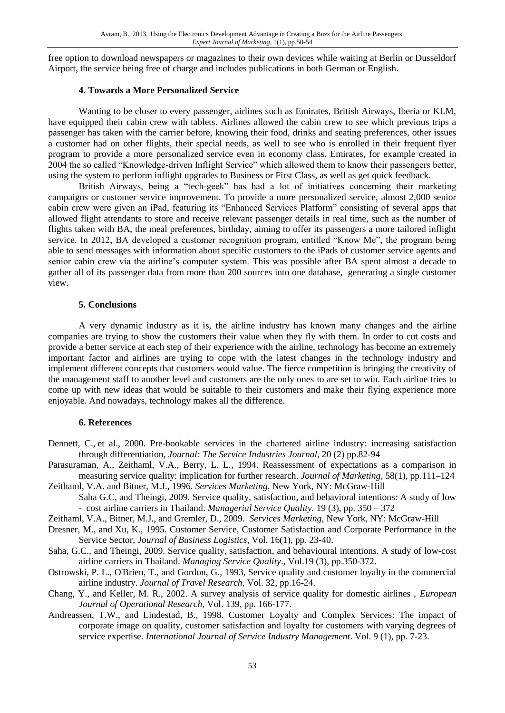free option to download newspapers or magazines to their own devices while waiting at Berlin or Dusseldorf Airport, the service being free of charge and includes publications in both German or English.

#### **4. Towards a More Personalized Service**

Wanting to be closer to every passenger, airlines such as Emirates, British Airways, Iberia or KLM, have equipped their cabin crew with tablets. Airlines allowed the cabin crew to see which previous trips a passenger has taken with the carrier before, knowing their food, drinks and seating preferences, other issues a customer had on other flights, their special needs, as well to see who is enrolled in their frequent flyer program to provide a more personalized service even in economy class. Emirates, for example created in 2004 the so called "Knowledge-driven Inflight Service" which allowed them to know their passengers better, using the system to perform inflight upgrades to Business or First Class, as well as get quick feedback.

British Airways, being a "tech-geek" has had a lot of initiatives concerning their marketing campaigns or customer service improvement. To provide a more personalized service, almost 2,000 senior cabin crew were given an iPad, featuring its "Enhanced Services Platform" consisting of several apps that allowed flight attendants to store and receive relevant passenger details in real time, such as the number of flights taken with BA, the meal preferences, birthday, aiming to offer its passengers a more tailored inflight service. In 2012, BA developed a customer recognition program, entitled "Know Me", the program being able to send messages with information about specific customers to the iPads of customer service agents and senior cabin crew via the airline's computer system. This was possible after BA spent almost a decade to gather all of its passenger data from more than 200 sources into one database, generating a single customer view.

#### **5. Conclusions**

A very dynamic industry as it is, the airline industry has known many changes and the airline companies are trying to show the customers their value when they fly with them. In order to cut costs and provide a better service at each step of their experience with the airline, technology has become an extremely important factor and airlines are trying to cope with the latest changes in the technology industry and implement different concepts that customers would value. The fierce competition is bringing the creativity of the management staff to another level and customers are the only ones to are set to win. Each airline tries to come up with new ideas that would be suitable to their customers and make their flying experience more enjoyable. And nowadays, technology makes all the difference.

#### **6. References**

- Dennett, C., et al., 2000. Pre-bookable services in the chartered airline industry: increasing satisfaction through differentiation, *Journal: The Service Industries Journal*, 20 (2) pp.82-94
- Parasuraman, A., Zeithaml, V.A., Berry, L. L., 1994. Reassessment of expectations as a comparison in measuring service quality: implication for further research. *Journal of Marketing*, 58(1), pp.111–124
- Zeithaml, V.A. and Bitner, M.J., 1996. *Services Marketing,* New York, NY: McGraw-Hill Saha G.C, and Theingi, 2009. Service quality, satisfaction, and behavioral intentions: A study of low - cost airline carriers in Thailand. *Managerial Service Quality.* 19 (3), pp. 350 – 372
- Zeithaml, V.A., Bitner, M.J., and Gremler, D., 2009*. Services Marketing*, New York, NY: McGraw-Hill
- Dresner, M., and Xu, K., 1995. Customer Service, Customer Satisfaction and Corporate Performance in the Service Sector, *Journal of Business Logistics*, Vol. 16(1), pp. 23-40.
- Saha, G.C., and Theingi, 2009. Service quality, satisfaction, and behavioural intentions. A study of low-cost airline carriers in Thailand. *Managing Service Quality*., Vol.19 (3), pp.350-372.
- Ostrowski, P. L., O'Brien, T., and Gordon, G., 1993, Service quality and customer loyalty in the commercial airline industry. *Journal of Travel Research*, Vol. 32, pp.16-24.
- Chang, Y., and Keller, M. R., 2002. A survey analysis of service quality for domestic airlines , *European Journal of Operational Research*, Vol. 139, pp. 166-177.
- Andreassen, T.W., and Lindestad, B., 1998. Customer Loyalty and Complex Services: The impact of corporate image on quality, customer satisfaction and loyalty for customers with varying degrees of service expertise. *International Journal of Service Industry Management*. Vol. 9 (1), pp. 7-23.